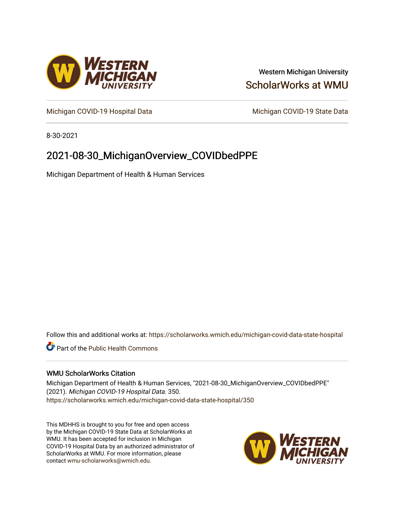

### Western Michigan University [ScholarWorks at WMU](https://scholarworks.wmich.edu/)

[Michigan COVID-19 Hospital Data](https://scholarworks.wmich.edu/michigan-covid-data-state-hospital) Michigan COVID-19 State Data

8-30-2021

## 2021-08-30\_MichiganOverview\_COVIDbedPPE

Michigan Department of Health & Human Services

Follow this and additional works at: [https://scholarworks.wmich.edu/michigan-covid-data-state-hospital](https://scholarworks.wmich.edu/michigan-covid-data-state-hospital?utm_source=scholarworks.wmich.edu%2Fmichigan-covid-data-state-hospital%2F350&utm_medium=PDF&utm_campaign=PDFCoverPages) 

**Part of the Public Health Commons** 

#### WMU ScholarWorks Citation

Michigan Department of Health & Human Services, "2021-08-30\_MichiganOverview\_COVIDbedPPE" (2021). Michigan COVID-19 Hospital Data. 350. [https://scholarworks.wmich.edu/michigan-covid-data-state-hospital/350](https://scholarworks.wmich.edu/michigan-covid-data-state-hospital/350?utm_source=scholarworks.wmich.edu%2Fmichigan-covid-data-state-hospital%2F350&utm_medium=PDF&utm_campaign=PDFCoverPages) 

This MDHHS is brought to you for free and open access by the Michigan COVID-19 State Data at ScholarWorks at WMU. It has been accepted for inclusion in Michigan COVID-19 Hospital Data by an authorized administrator of ScholarWorks at WMU. For more information, please contact [wmu-scholarworks@wmich.edu](mailto:wmu-scholarworks@wmich.edu).

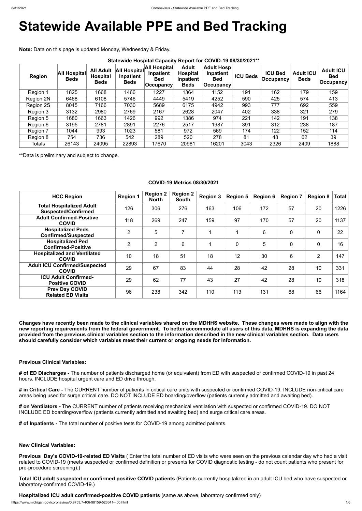# **Statewide Available PPE and Bed Tracking**

**Note:** Data on this page is updated Monday, Wednesday & Friday.

| <b>Region</b> | <b>All Hospital</b><br><b>Beds</b> | <b>All Adult</b><br><b>Hospital</b><br><b>Beds</b> | All Hospital<br>Inpatient<br><b>Beds</b> | All Hospital<br>Inpatient<br><b>Bed</b><br>$ $ Occupancy | <b>Adult</b><br><b>Hospital</b><br>Inpatient<br><b>Beds</b> | <b>Adult Hosp</b><br>Inpatient<br><b>Bed</b><br><b>Occupancy</b> | <b>ICU Beds</b> | <b>ICU Bed</b><br><b>Occupancy!</b> | <b>Adult ICU</b><br><b>Beds</b> | <b>Adult ICU</b><br><b>Bed</b><br>$ $ Occupancy $ $ |
|---------------|------------------------------------|----------------------------------------------------|------------------------------------------|----------------------------------------------------------|-------------------------------------------------------------|------------------------------------------------------------------|-----------------|-------------------------------------|---------------------------------|-----------------------------------------------------|
| Region 1      | 1825                               | 1668                                               | 1466                                     | 1227                                                     | 1364                                                        | 1152                                                             | 191             | 162                                 | 179                             | 159                                                 |
| Region 2N     | 6468                               | 6108                                               | 5746                                     | 4449                                                     | 5419                                                        | 4252                                                             | 590             | 425                                 | 574                             | 413                                                 |
| Region 2S     | 8045                               | 7166                                               | 7030                                     | 5689                                                     | 6175                                                        | 4942                                                             | 993             | 777                                 | 692                             | 559                                                 |
| Region 3      | 3132                               | 2980                                               | 2769                                     | 2167                                                     | 2628                                                        | 2047                                                             | 402             | 338                                 | 321                             | 279                                                 |
| Region 5      | 1680                               | 1663                                               | 1426                                     | 992                                                      | 1386                                                        | 974                                                              | 221             | 142                                 | 191                             | 138                                                 |
| Region 6      | 3195                               | 2781                                               | 2891                                     | 2276                                                     | 2517                                                        | 1987                                                             | 391             | 312                                 | 238                             | 187                                                 |
| Region 7      | 1044                               | 993                                                | 1023                                     | 581                                                      | 972                                                         | 569                                                              | 174             | 122                                 | 152                             | 114                                                 |
| Region 8      | 754                                | 736                                                | 542                                      | 289                                                      | 520                                                         | 278                                                              | 81              | 48                                  | 62                              | 39                                                  |
| <b>Totals</b> | 26143                              | 24095                                              | 22893                                    | 17670                                                    | 20981                                                       | 16201                                                            | 3043            | 2326                                | 2409                            | 1888                                                |

\*\*Data is preliminary and subject to change.

#### **COVID-19 Metrics 08/30/2021**

| <b>HCC Region</b>                                             | <b>Region 1</b> | <b>Region 2</b><br><b>North</b> | <b>Region 2</b><br><b>South</b> | <b>Region 3</b>         | <b>Region 5</b> | <b>Region 6</b> | <b>Region 7</b> | <b>Region 8</b> | <b>Total</b> |
|---------------------------------------------------------------|-----------------|---------------------------------|---------------------------------|-------------------------|-----------------|-----------------|-----------------|-----------------|--------------|
| <b>Total Hospitalized Adult</b><br><b>Suspected/Confirmed</b> | 126             | 306                             | 276                             | 163                     | 106             | 172             | 57              | 20              | 1226         |
| <b>Adult Confirmed-Positive</b><br><b>COVID</b>               | 118             | 269                             | 247                             | 159                     | 97              | 170             | 57              | 20              | 1137         |
| <b>Hospitalized Peds</b><br><b>Confirmed/Suspected</b>        | $\overline{2}$  | 5                               | $\overline{\phantom{a}}$        | $\overline{\mathbf{A}}$ | 1               | 6               | $\overline{0}$  | $\mathbf 0$     | 22           |
| <b>Hospitalized Ped</b><br><b>Confirmed-Positive</b>          | $\overline{2}$  | $\overline{2}$                  | $6\phantom{1}6$                 | 1                       | $\overline{0}$  | 5               | $\mathbf 0$     | $\overline{0}$  | 16           |
| <b>Hospitalized and Ventilated</b><br><b>COVID</b>            | 10              | 18                              | 51                              | 18                      | 12              | 30              | 6               | $\overline{2}$  | 147          |
| <b>Adult ICU Confirmed/Suspected</b><br><b>COVID</b>          | 29              | 67                              | 83                              | 44                      | 28              | 42              | 28              | 10              | 331          |
| <b>ICU Adult Confirmed-</b><br><b>Positive COVID</b>          | 29              | 62                              | 77                              | 43                      | 27              | 42              | 28              | 10              | 318          |
| <b>Prev Day COVID</b><br><b>Related ED Visits</b>             | 96              | 238                             | 342                             | 110                     | 113             | 131             | 68              | 66              | 1164         |

**Changes have recently been made to the clinical variables shared on the MDHHS website. These changes were made to align with the new reporting requirements from the federal government. To better accommodate all users of this data, MDHHS is expanding the data provided from the previous clinical variables section to the information described in the new clinical variables section. Data users should carefully consider which variables meet their current or ongoing needs for information.**

#### **Previous Clinical Variables:**

**# of ED Discharges -** The number of patients discharged home (or equivalent) from ED with suspected or confirmed COVID-19 in past 24 hours. INCLUDE hospital urgent care and ED drive through.

**# in Critical Care -** The CURRENT number of patients in critical care units with suspected or confirmed COVID-19. INCLUDE non-critical care areas being used for surge critical care. DO NOT INCLUDE ED boarding/overflow (patients currently admitted and awaiting bed).

**# on Ventilators -** The CURRENT number of patients receiving mechanical ventilation with suspected or confirmed COVID-19. DO NOT INCLUDE ED boarding/overflow (patients currently admitted and awaiting bed) and surge critical care areas.

**# of Inpatients -** The total number of positive tests for COVID-19 among admitted patients.

**New Clinical Variables:**

**Previous Day's COVID-19-related ED Visits** ( Enter the total number of ED visits who were seen on the previous calendar day who had a visit related to COVID-19 (meets suspected or confirmed definition or presents for COVID diagnostic testing - do not count patients who present for pre-procedure screening).)

**Total ICU adult suspected or confirmed positive COVID patients** (Patients currently hospitalized in an adult ICU bed who have suspected or laboratory-confirmed COVID-19.)

**Hospitalized ICU adult confirmed-positive COVID patients** (same as above, laboratory confirmed only)

https://www.michigan.gov/coronavirus/0,9753,7-406-98159-523641--,00.html 1/6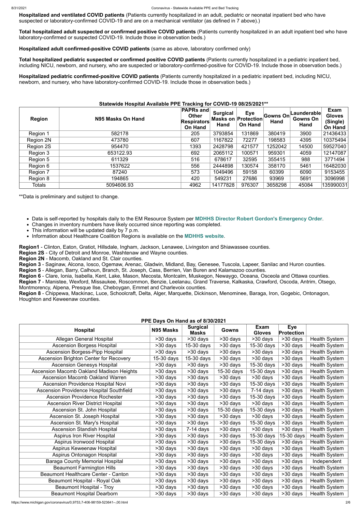**Hospitalized and ventilated COVID patients** (Patients currently hospitalized in an adult, pediatric or neonatal inpatient bed who have suspected or laboratory-confirmed COVID-19 and are on a mechanical ventilator (as defined in 7 above).)

**Total hospitalized adult suspected or confirmed positive COVID patients** (Patients currently hospitalized in an adult inpatient bed who have laboratory-confirmed or suspected COVID-19. Include those in observation beds.)

**Hospitalized adult confirmed-positive COVID patients** (same as above, laboratory confirmed only)

**Total hospitalized pediatric suspected or confirmed positive COVID patients** (Patients currently hospitalized in a pediatric inpatient bed, including NICU, newborn, and nursery, who are suspected or laboratory-confirmed-positive for COVID-19. Include those in observation beds.)

**Hospitalized pediatric confirmed-positive COVID patients** (Patients currently hospitalized in a pediatric inpatient bed, including NICU, newborn, and nursery, who have laboratory-confirmed COVID-19. Include those in observation beds.)

#### **Statewide Hospital Available PPE Tracking for COVID-19 08/25/2021\*\***

| <b>Region</b> | N95 Masks On Hand | <b>PAPRs and</b><br><b>Other</b><br><b>Respirators</b><br>On Hand | <b>Surgical</b><br>Hand | <b>Eye</b><br><b>Masks on Protection</b><br><b>On Hand</b> | Gowns On<br><b>Hand</b> | Launderable∣<br><b>Gowns On</b><br>Hand | Exam<br><b>Gloves</b><br>(Single)<br>On Hand |
|---------------|-------------------|-------------------------------------------------------------------|-------------------------|------------------------------------------------------------|-------------------------|-----------------------------------------|----------------------------------------------|
| Region 1      | 582178            | 205                                                               | 3793854                 | 131869                                                     | 380419                  | 3900                                    | 21436433                                     |
| Region 2N     | 473780            | 607                                                               | 1167822                 | 72277                                                      | 198583                  | 4395                                    | 10375494                                     |
| Region 2S     | 954470            | 1393                                                              | 2428798                 | 421577                                                     | 1252042                 | 14500                                   | 59527040                                     |
| Region 3      | 653122.93         | 692                                                               | 2065112                 | 100571                                                     | 959301                  | 4059                                    | 12147087                                     |
| Region 5      | 611329            | 516                                                               | 678617                  | 32595                                                      | 355415                  | 988                                     | 3771494                                      |
| Region 6      | 1537622           | 556                                                               | 2444898                 | 130574                                                     | 358170                  | 5461                                    | 16482030                                     |
| Region 7      | 87240             | 573                                                               | 1049496                 | 59158                                                      | 60399                   | 6090                                    | 9153455                                      |
| Region 8      | 194865            | 420                                                               | 549231                  | 27686                                                      | 93969                   | 5691                                    | 3096998                                      |
| <b>Totals</b> | 5094606.93        | 4962                                                              | 14177828                | 976307                                                     | 3658298                 | 45084                                   | 135990031                                    |

\*\*Data is preliminary and subject to change.

- Data is self-reported by hospitals daily to the EM Resource System per **[MDHHS Director Robert Gordon's Emergency Order](https://www.michigan.gov/documents/coronavirus/MDHHS_epidemic_reporting_order_and_instructions_684709_7.pdf)**.
- Changes in inventory numbers have likely occurred since reporting was completed.
- This information will be updated daily by 7 p.m.
- Information about Healthcare Coalition Regions is available on the **[MDHHS website](https://www.michigan.gov/mdhhs/0,5885,7-339-71548_54783_54826_56171-237197--,00.html#hcc)**.

**Region1** - Clinton, Eaton, Gratiot, Hillsdale, Ingham, Jackson, Lenawee, Livingston and Shiawassee counties.

**Region 2S** - City of Detroit and Monroe, Washtenaw and Wayne counties.

**Region 2N** - Macomb, Oakland and St. Clair counties.

**Region 3** - Saginaw, Alcona, Iosco, Ogemaw, Arenac, Gladwin, Midland, Bay, Genesee, Tuscola, Lapeer, Sanilac and Huron counties.

**Region 5** - Allegan, Barry, Calhoun, Branch, St. Joseph, Cass, Berrien, Van Buren and Kalamazoo counties.

**Region 6** - Clare, Ionia, Isabella, Kent, Lake, Mason, Mecosta, Montcalm, Muskegon, Newaygo, Oceana, Osceola and Ottawa counties.

**Region 7** - Manistee, Wexford, Missaukee, Roscommon, Benzie, Leelanau, Grand Traverse, Kalkaska, Crawford, Oscoda, Antrim, Otsego, Montmorency, Alpena, Presque Ilse, Cheboygan, Emmet and Charlevoix counties.

**Region 8** - Chippewa, Mackinac, Luce, Schoolcraft, Delta, Alger, Marquette, Dickinson, Menominee, Baraga, Iron, Gogebic, Ontonagon, Houghton and Keweenaw counties.

#### **PPE Days On Hand as of 8/30/2021**

| <b>FFE Days OII Hally as 01 0/30/2021</b>  |            |                                 |                          |                              |                                 |                      |  |
|--------------------------------------------|------------|---------------------------------|--------------------------|------------------------------|---------------------------------|----------------------|--|
| <b>Hospital</b>                            | N95 Masks  | <b>Surgical</b><br><b>Masks</b> | <b>Gowns</b>             | <b>Exam</b><br><b>Gloves</b> | <b>Eye</b><br><b>Protection</b> |                      |  |
| <b>Allegan General Hospital</b>            | >30 days   | >30 days                        | $>30$ days               | >30 days                     | >30 days                        | <b>Health System</b> |  |
| <b>Ascension Borgess Hospital</b>          | >30 days   | 15-30 days                      | $\overline{>}30$ days    | 15-30 days                   | $>30$ days                      | <b>Health System</b> |  |
| <b>Ascension Borgess-Pipp Hospital</b>     | >30 days   | >30 days                        | $\overline{>30}$ days    | $>30$ days                   | $\overline{>30}$ days           | <b>Health System</b> |  |
| Ascension Brighton Center for Recovery     | 15-30 days | 15-30 days                      | >30 days                 | >30 days                     | >30 days                        | <b>Health System</b> |  |
| <b>Ascension Genesys Hospital</b>          | >30 days   | >30 days                        | >30 days                 | 15-30 days                   | $\overline{>30}$ days           | <b>Health System</b> |  |
| Ascension Macomb Oakland Madison Heights   | >30 days   | >30 days                        | $\overline{15}$ -30 days | 15-30 days                   | >30 days                        | <b>Health System</b> |  |
| <b>Ascension Macomb Oakland Warren</b>     | $>30$ days | >30 days                        | $\overline{>30}$ days    | $\overline{>30}$ days        | $\overline{>30}$ days           | <b>Health System</b> |  |
| Ascension Providence Hospital Novi         | >30 days   | >30 days                        | >30 days                 | 15-30 days                   | >30 days                        | <b>Health System</b> |  |
| Ascension Providence Hospital Southfield   | >30 days   | >30 days                        | >30 days                 | $7-14$ days                  | >30 days                        | <b>Health System</b> |  |
| <b>Ascension Providence Rochester</b>      | >30 days   | >30 days                        | $\overline{>}30$ days    | 15-30 days                   | >30 days                        | <b>Health System</b> |  |
| <b>Ascension River District Hospital</b>   | >30 days   | >30 days                        | >30 days                 | >30 days                     | $\overline{>30}$ days           | <b>Health System</b> |  |
| Ascension St. John Hospital                | >30 days   | >30 days                        | 15-30 days               | 15-30 days                   | >30 days                        | <b>Health System</b> |  |
| Ascension St. Joseph Hospital              | >30 days   | >30 days                        | >30 days                 | >30 days                     | >30 days                        | <b>Health System</b> |  |
| Ascension St. Mary's Hospital              | >30 days   | $>30$ days                      | >30 days                 | 15-30 days                   | >30 days                        | <b>Health System</b> |  |
| <b>Ascension Standish Hospital</b>         | >30 days   | $7-14$ days                     | >30 days                 | >30 days                     | >30 days                        | <b>Health System</b> |  |
| <b>Aspirus Iron River Hospital</b>         | >30 days   | >30 days                        | >30 days                 | 15-30 days                   | 15-30 days                      | <b>Health System</b> |  |
| Aspirus Ironwood Hospital                  | >30 days   | >30 days                        | >30 days                 | 15-30 days                   | >30 days                        | <b>Health System</b> |  |
| Aspirus Keweenaw Hospital                  | >30 days   | >30 days                        | >30 days                 | >30 days                     | >30 days                        | <b>Health System</b> |  |
| Aspirus Ontonagon Hospital                 | >30 days   | >30 days                        | >30 days                 | >30 days                     | >30 days                        | <b>Health System</b> |  |
| <b>Baraga County Memorial Hospital</b>     | >30 days   | >30 days                        | >30 days                 | >30 days                     | >30 days                        | Independent          |  |
| <b>Beaumont Farmington Hills</b>           | >30 days   | >30 days                        | >30 days                 | >30 days                     | >30 days                        | <b>Health System</b> |  |
| <b>Beaumont Healthcare Center - Canton</b> | >30 days   | >30 days                        | >30 days                 | >30 days                     | >30 days                        | <b>Health System</b> |  |
| Beaumont Hospital - Royal Oak              | >30 days   | >30 days                        | >30 days                 | >30 days                     | >30 days                        | <b>Health System</b> |  |
| Beaumont Hospital - Troy                   | >30 days   | >30 days                        | >30 days                 | >30 days                     | $>30$ days                      | <b>Health System</b> |  |
| <b>Beaumont Hospital Dearborn</b>          | >30 days   | >30 days                        | >30 days                 | >30 days                     | >30 days                        | <b>Health System</b> |  |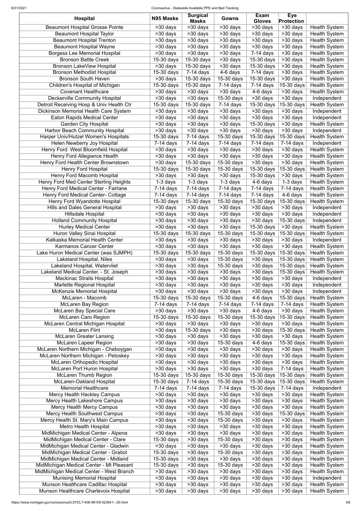| <b>Hospital</b>                                                              | N95 Masks                              | <b>Surgical</b><br><b>Masks</b>                    | Gowns                                   | Exam<br><b>Gloves</b>      | <b>Eye</b><br><b>Protection</b>     |                                              |
|------------------------------------------------------------------------------|----------------------------------------|----------------------------------------------------|-----------------------------------------|----------------------------|-------------------------------------|----------------------------------------------|
| <b>Beaumont Hospital Grosse Pointe</b>                                       | $\overline{>}30$ days                  | $>30$ days                                         | $>30$ days                              | $\overline{>}30$ days      | >30 days                            | <b>Health System</b>                         |
| <b>Beaumont Hospital Taylor</b>                                              | >30 days                               | >30 days                                           | >30 days                                | $\overline{>30}$ days      | $\overline{>30}$ days               | <b>Health System</b>                         |
| <b>Beaumont Hospital Trenton</b>                                             | >30 days                               | >30 days                                           | >30 days                                | >30 days                   | >30 days                            | <b>Health System</b>                         |
| <b>Beaumont Hospital Wayne</b>                                               | >30 days                               | >30 days                                           | >30 days                                | $>30$ days                 | >30 days                            | <b>Health System</b>                         |
| <b>Borgess Lee Memorial Hospital</b><br><b>Bronson Battle Creek</b>          | >30 days<br>15-30 days                 | >30 days<br>15-30 days                             | >30 days<br>>30 days                    | $7-14$ days<br>15-30 days  | >30 days<br>>30 days                | <b>Health System</b><br><b>Health System</b> |
| Bronson LakeView Hospital                                                    | >30 days                               | 15-30 days                                         | >30 days                                | 15-30 days                 | >30 days                            | <b>Health System</b>                         |
| <b>Bronson Methodist Hospital</b>                                            | 15-30 days                             | $7-14$ days                                        | 4-6 days                                | $\overline{7}$ -14 days    | >30 days                            | <b>Health System</b>                         |
| <b>Bronson South Haven</b>                                                   | >30 days                               | 15-30 days                                         | 15-30 days                              | 15-30 days                 | >30 days                            | <b>Health System</b>                         |
| Children's Hospital of Michigan                                              | 15-30 days                             | 15-30 days                                         | $7-14$ days                             | $7-14$ days                | 15-30 days                          | <b>Health System</b>                         |
| <b>Covenant Healthcare</b>                                                   | >30 days                               | >30 days                                           | >30 days                                | 4-6 days                   | >30 days                            | <b>Health System</b>                         |
| <b>Deckerville Community Hospital</b>                                        | $>30$ days                             | $>30$ days                                         | 15-30 days                              | >30 days                   | >30 days                            | Independent                                  |
| Detroit Receiving Hosp & Univ Health Ctr                                     | 15-30 days                             | 15-30 days                                         | $7-14$ days                             | 15-30 days                 | 15-30 days                          | <b>Health System</b>                         |
| Dickinson Memorial Health Care System                                        | >30 days                               | >30 days                                           | >30 days                                | >30 days                   | >30 days                            | Independent                                  |
| <b>Eaton Rapids Medical Center</b><br><b>Garden City Hospital</b>            | >30 days<br>$>30$ days                 | >30 days<br>>30 days                               | >30 days<br>>30 days                    | >30 days<br>15-30 days     | >30 days<br>>30 days                | Independent<br><b>Health System</b>          |
| Harbor Beach Community Hospital                                              | >30 days                               | >30 days                                           | >30 days                                | >30 days                   | >30 days                            | Independent                                  |
| Harper Univ/Hutzel Women's Hospitals                                         | 15-30 days                             | $\overline{7}$ -14 days                            | 15-30 days                              | 15-30 days                 | 15-30 days                          | <b>Health System</b>                         |
| Helen Newberry Joy Hospital                                                  | $7-14$ days                            | $\overline{7}$ -14 days                            | $7-14$ days                             | $7-14$ days                | $\overline{7}$ -14 days             | Independent                                  |
| Henry Ford West Bloomfield Hospital                                          | $>30$ days                             | $>30$ days                                         | $>30$ days                              | $>30$ days                 | $\overline{>30}$ days               | <b>Health System</b>                         |
| Henry Ford Allegiance Health                                                 | $\overline{>}30$ days                  | $\overline{>30}$ days                              | $\overline{>30}$ days                   | $\overline{>}30$ days      | $\overline{>30}$ days               | <b>Health System</b>                         |
| Henry Ford Health Center Brownstown                                          | >30 days                               | $15-30$ days                                       | $\overline{15-30}$ days                 | >30 days                   | $\overline{>30}$ days               | <b>Health System</b>                         |
| <b>Henry Ford Hospital</b>                                                   | 15-30 days                             | 15-30 days                                         | 15-30 days                              | 15-30 days                 | 15-30 days                          | <b>Health System</b>                         |
| Henry Ford Macomb Hospital                                                   | >30 days                               | $>30$ days                                         | $>30$ days                              | 15-30 days                 | $>30$ days                          | <b>Health System</b>                         |
| <b>Henry Ford Med Center Sterling Heights</b>                                | $1-3$ days                             | $1-3$ days                                         | $1-3$ days                              | 4-6 days                   | $1-3$ days                          | <b>Health System</b>                         |
| Henry Ford Medical Center - Fairlane<br>Henry Ford Medical Center- Cottage   | $\overline{7}$ -14 days<br>$7-14$ days | $\overline{7}$ -14 days<br>$\overline{7}$ -14 days | $\overline{7}$ -14 days<br>$7-14$ days  | $7-14$ days<br>$7-14$ days | $\overline{7}$ -14 days<br>4-6 days | <b>Health System</b><br><b>Health System</b> |
| Henry Ford Wyandotte Hospital                                                | $\overline{15}$ -30 days               | 15-30 days                                         | 15-30 days                              | 15-30 days                 | 15-30 days                          | <b>Health System</b>                         |
| <b>Hills and Dales General Hospital</b>                                      | $>30$ days                             | $\overline{>30}$ days                              | $>30$ days                              | $\overline{>}30$ days      | $>30$ days                          | Independent                                  |
| <b>Hillsdale Hospital</b>                                                    | >30 days                               | >30 days                                           | >30 days                                | $\overline{>30}$ days      | $\overline{>30}$ days               | Independent                                  |
| <b>Holland Community Hospital</b>                                            | >30 days                               | $\overline{>30}$ days                              | $>30$ days                              | >30 days                   | 15-30 days                          | Independent                                  |
| <b>Hurley Medical Center</b>                                                 | >30 days                               | >30 days                                           | >30 days                                | 15-30 days                 | $\overline{>30}$ days               | <b>Health System</b>                         |
| Huron Valley Sinai Hospital                                                  | 15-30 days                             | 15-30 days                                         | 15-30 days                              | 15-30 days                 | 15-30 days                          | <b>Health System</b>                         |
| Kalkaska Memorial Health Center                                              | >30 days                               | >30 days                                           | $>30$ days                              | >30 days                   | >30 days                            | Independent                                  |
| <b>Karmanos Cancer Center</b>                                                | $>30$ days                             | >30 days                                           | $>30$ days                              | $>30$ days                 | >30 days                            | <b>Health System</b>                         |
| Lake Huron Medical Center (was SJMPH)<br><b>Lakeland Hospital, Niles</b>     | 15-30 days<br>>30 days                 | 15-30 days<br>>30 days                             | 15-30 days<br>15-30 days                | 15-30 days<br>>30 days     | 15-30 days<br>15-30 days            | <b>Health System</b><br><b>Health System</b> |
| Lakeland Hospital, Watervliet                                                | >30 days                               | >30 days                                           | 15-30 days                              | >30 days                   | 15-30 days                          | <b>Health System</b>                         |
| Lakeland Medical Center. - St. Joseph                                        | >30 days                               | >30 days                                           | $>30$ days                              | >30 days                   | 15-30 days                          | <b>Health System</b>                         |
| <b>Mackinac Straits Hospital</b>                                             | >30 days                               | >30 days                                           | >30 days                                | >30 days                   | >30 days                            | Independent                                  |
| <b>Marlette Regional Hospital</b>                                            | >30 days                               | >30 days                                           | $>30$ days                              | >30 days                   | >30 days                            | Independent                                  |
| <b>McKenzie Memorial Hospital</b>                                            | >30 days                               | >30 days                                           | >30 days                                | >30 days                   | >30 days                            | Independent                                  |
| McLaren - Macomb                                                             | 15-30 days                             | 15-30 days                                         | 15-30 days                              | 4-6 days                   | 15-30 days                          | <b>Health System</b>                         |
| <b>McLaren Bay Region</b>                                                    | $7-14$ days                            | $7-14$ days                                        | $7-14$ days                             | 7-14 days                  | $7-14$ days                         | <b>Health System</b>                         |
| <b>McLaren Bay Special Care</b>                                              | >30 days                               | >30 days                                           | $>30$ days                              | 4-6 days                   | >30 days                            | <b>Health System</b>                         |
| <b>McLaren Caro Region</b><br>McLaren Central Michigan Hospital              | 15-30 days<br>>30 days                 | $15-30$ days<br>>30 days                           | 15-30 days<br>$>30$ days                | 15-30 days<br>>30 days     | 15-30 days<br>>30 days              | <b>Health System</b><br><b>Health System</b> |
| <b>McLaren Flint</b>                                                         | >30 days                               | 15-30 days                                         | $\overline{>30}$ days                   | >30 days                   | 15-30 days                          | <b>Health System</b>                         |
| <b>McLaren Greater Lansing</b>                                               | >30 days                               | >30 days                                           | $>30$ days                              | >30 days                   | >30 days                            | <b>Health System</b>                         |
| <b>McLaren Lapeer Region</b>                                                 | >30 days                               | >30 days                                           | $15-30$ days                            | 4-6 days                   | $\overline{15}$ -30 days            | <b>Health System</b>                         |
| McLaren Northern Michigan - Cheboygan                                        | $\overline{>30}$ days                  | >30 days                                           | $>30$ days                              | >30 days                   | $\overline{>30}$ days               | <b>Health System</b>                         |
| McLaren Northern Michigan - Petoskey                                         | >30 days                               | >30 days                                           | $\overline{>30}$ days                   | >30 days                   | >30 days                            | <b>Health System</b>                         |
| <b>McLaren Orthopedic Hospital</b>                                           | >30 days                               | >30 days                                           | $>30$ days                              | >30 days                   | >30 days                            | <b>Health System</b>                         |
| McLaren Port Huron Hospital                                                  | >30 days                               | $\overline{>30}$ days                              | $>30$ days                              | >30 days                   | $\overline{7-14}$ days              | <b>Health System</b>                         |
| <b>McLaren Thumb Region</b>                                                  | 15-30 days                             | 15-30 days                                         | 15-30 days                              | 15-30 days                 | 15-30 days                          | <b>Health System</b>                         |
| McLaren-Oakland Hospital<br><b>Memorial Healthcare</b>                       | $15-30$ days<br>$7-14$ days            | $\overline{7-14}$ days<br>$7-14$ days              | $\overline{15}$ -30 days<br>$7-14$ days | $15-30$ days<br>15-30 days | 15-30 days<br>$7-14$ days           | <b>Health System</b><br>Independent          |
| Mercy Health Hackley Campus                                                  | >30 days                               | $>30$ days                                         | >30 days                                | >30 days                   | >30 days                            | <b>Health System</b>                         |
| <b>Mercy Health Lakeshore Campus</b>                                         | >30 days                               | >30 days                                           | >30 days                                | >30 days                   | >30 days                            | <b>Health System</b>                         |
| <b>Mercy Health Mercy Campus</b>                                             | >30 days                               | >30 days                                           | $>30$ days                              | >30 days                   | $\overline{>30}$ days               | <b>Health System</b>                         |
| <b>Mercy Health Southwest Campus</b>                                         | >30 days                               | >30 days                                           | 15-30 days                              | >30 days                   | 15-30 days                          | <b>Health System</b>                         |
| Mercy Health St. Mary's Main Campus                                          | >30 days                               | >30 days                                           | 15-30 days                              | >30 days                   | >30 days                            | <b>Health System</b>                         |
| <b>Metro Health Hospital</b>                                                 | >30 days                               | >30 days                                           | >30 days                                | >30 days                   | >30 days                            | <b>Health System</b>                         |
| MidMichigan Medical Center - Alpena                                          | >30 days                               | >30 days                                           | >30 days                                | >30 days                   | >30 days                            | <b>Health System</b>                         |
| MidMichigan Medical Center - Clare                                           | 15-30 days                             | >30 days                                           | 15-30 days                              | >30 days                   | >30 days                            | <b>Health System</b>                         |
| MidMichigan Medical Center - Gladwin                                         | >30 days                               | >30 days                                           | >30 days                                | >30 days                   | >30 days                            | <b>Health System</b>                         |
| MidMichigan Medical Center - Gratiot<br>MidMichigan Medical Center - Midland | 15-30 days<br>15-30 days               | >30 days<br>>30 days                               | 15-30 days<br>>30 days                  | >30 days<br>>30 days       | >30 days<br>>30 days                | <b>Health System</b><br><b>Health System</b> |
| MidMichigan Medical Center - Mt Pleasant                                     | 15-30 days                             | >30 days                                           | 15-30 days                              | >30 days                   | >30 days                            | <b>Health System</b>                         |
| MidMichigan Medical Center - West Branch                                     | >30 days                               | >30 days                                           | >30 days                                | >30 days                   | >30 days                            | <b>Health System</b>                         |
| <b>Munising Memorial Hospital</b>                                            | >30 days                               | >30 days                                           | >30 days                                | >30 days                   | >30 days                            | Independent                                  |
| Munson Healthcare Cadillac Hospital                                          | >30 days                               | >30 days                                           | >30 days                                | >30 days                   | >30 days                            | <b>Health System</b>                         |
| Munson Healthcare Charlevoix Hospital                                        | >30 days                               | >30 days                                           | >30 days                                | >30 days                   | >30 days                            | <b>Health System</b>                         |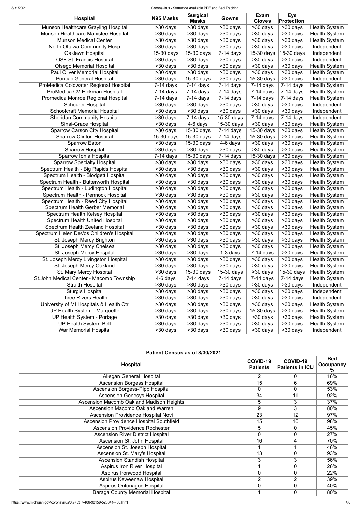| <b>Hospital</b>                                                        | N95 Masks                  | <b>Surgical</b>            | Gowns                   | <b>Exam</b>                            | <b>Eye</b>                                 |                                              |
|------------------------------------------------------------------------|----------------------------|----------------------------|-------------------------|----------------------------------------|--------------------------------------------|----------------------------------------------|
| Munson Healthcare Grayling Hospital                                    | >30 days                   | <b>Masks</b><br>>30 days   | $>30$ days              | <b>Gloves</b><br>$\overline{>}30$ days | <b>Protection</b><br>$\overline{>}30$ days | <b>Health System</b>                         |
| Munson Healthcare Manistee Hospital                                    | $>30$ days                 | >30 days                   | >30 days                | >30 days                               | $\overline{>30}$ days                      | <b>Health System</b>                         |
| <b>Munson Medical Center</b>                                           | >30 days                   | >30 days                   | >30 days                | >30 days                               | >30 days                                   | <b>Health System</b>                         |
| North Ottawa Community Hosp                                            | $>30$ days                 | >30 days                   | >30 days                | >30 days                               | >30 days                                   | Independent                                  |
|                                                                        | 15-30 days                 | 15-30 days                 | $7-14$ days             | 15-30 days                             | 15-30 days                                 |                                              |
| Oaklawn Hospital<br><b>OSF St. Francis Hospital</b>                    |                            | >30 days                   | >30 days                |                                        | >30 days                                   | Independent<br>Independent                   |
| <b>Otsego Memorial Hospital</b>                                        | >30 days                   |                            |                         | >30 days                               | $>30$ days                                 |                                              |
| Paul Oliver Memorial Hospital                                          | >30 days                   | >30 days<br>>30 days       | >30 days<br>>30 days    | >30 days<br>$>30$ days                 | >30 days                                   | <b>Health System</b>                         |
| <b>Pontiac General Hospital</b>                                        | >30 days                   | 15-30 days                 | >30 days                |                                        |                                            | <b>Health System</b>                         |
|                                                                        | >30 days                   | $7-14$ days                | $7-14$ days             | 15-30 days<br>$\overline{7}$ -14 days  | >30 days<br>$\overline{7}$ -14 days        | Independent<br><b>Health System</b>          |
| ProMedica Coldwater Regional Hospital<br>ProMedica CV Hickman Hospital | $7-14$ days                |                            | $7-14$ days             |                                        |                                            |                                              |
| Promedica Monroe Regional Hospital                                     | $7-14$ days<br>$7-14$ days | $7-14$ days<br>$7-14$ days | $7-14$ days             | $7-14$ days<br>$\overline{7}$ -14 days | $7-14$ days<br>$7-14$ days                 | <b>Health System</b><br><b>Health System</b> |
| <b>Scheurer Hospital</b>                                               | >30 days                   | >30 days                   | >30 days                | >30 days                               | >30 days                                   | Independent                                  |
| <b>Schoolcraft Memorial Hospital</b>                                   | $>30$ days                 | >30 days                   | >30 days                | $>30$ days                             | >30 days                                   | Independent                                  |
| <b>Sheridan Community Hospital</b>                                     | >30 days                   | $7-14$ days                | 15-30 days              | $7-14$ days                            | $7-14$ days                                | Independent                                  |
| Sinai-Grace Hospital                                                   | >30 days                   | $\overline{4}$ -6 days     | 15-30 days              | $\overline{>30}$ days                  | >30 days                                   | <b>Health System</b>                         |
| <b>Sparrow Carson City Hospital</b>                                    | >30 days                   | 15-30 days                 | $7-14$ days             | 15-30 days                             | >30 days                                   | <b>Health System</b>                         |
| <b>Sparrow Clinton Hospital</b>                                        | 15-30 days                 | 15-30 days                 | $7-14$ days             | $15-30$ days                           | >30 days                                   | <b>Health System</b>                         |
| <b>Sparrow Eaton</b>                                                   | >30 days                   | 15-30 days                 | 4-6 days                | >30 days                               | $>30$ days                                 | <b>Health System</b>                         |
| <b>Sparrow Hospital</b>                                                | >30 days                   | >30 days                   | >30 days                | $\overline{>30}$ days                  | >30 days                                   | <b>Health System</b>                         |
| Sparrow Ionia Hospital                                                 | $7-14$ days                | $15-30$ days               | $\overline{7}$ -14 days | 15-30 days                             | $\overline{>30}$ days                      | <b>Health System</b>                         |
| <b>Sparrow Specialty Hospital</b>                                      | >30 days                   | >30 days                   | >30 days                | $\overline{>30}$ days                  | >30 days                                   | <b>Health System</b>                         |
| Spectrum Health - Big Rapids Hospital                                  |                            | >30 days                   | >30 days                | >30 days                               | >30 days                                   | <b>Health System</b>                         |
| Spectrum Health - Blodgett Hospital                                    | >30 days<br>>30 days       | >30 days                   | >30 days                | $\overline{>30}$ days                  | >30 days                                   | <b>Health System</b>                         |
| Spectrum Health - Butterworth Hospital                                 | >30 days                   | $\overline{>30}$ days      | $\overline{>30}$ days   | $>30$ days                             | $>30$ days                                 | <b>Health System</b>                         |
| Spectrum Health - Ludington Hospital                                   | >30 days                   | >30 days                   | $>30$ days              | $\overline{>30}$ days                  | >30 days                                   | <b>Health System</b>                         |
| Spectrum Health - Pennock Hospital                                     | >30 days                   | >30 days                   | >30 days                | >30 days                               | >30 days                                   | <b>Health System</b>                         |
| Spectrum Health - Reed City Hospital                                   | >30 days                   | $\overline{>30}$ days      | >30 days                | >30 days                               | >30 days                                   | <b>Health System</b>                         |
| Spectrum Health Gerber Memorial                                        | >30 days                   | >30 days                   | $>30$ days              | >30 days                               | $>30$ days                                 | <b>Health System</b>                         |
| Spectrum Health Kelsey Hospital                                        | $\overline{>30}$ days      | >30 days                   | >30 days                | $\overline{>30}$ days                  | >30 days                                   | <b>Health System</b>                         |
| <b>Spectrum Health United Hospital</b>                                 | >30 days                   | >30 days                   | $\overline{>30}$ days   | >30 days                               | >30 days                                   | <b>Health System</b>                         |
| Spectrum Health Zeeland Hospital                                       | >30 days                   | >30 days                   | $>30$ days              | $\overline{>30}$ days                  | $>30$ days                                 | <b>Health System</b>                         |
| Spectrum Helen DeVos Children's Hospital                               | >30 days                   | >30 days                   | >30 days                | >30 days                               | >30 days                                   | <b>Health System</b>                         |
| St. Joseph Mercy Brighton                                              | $>30$ days                 | >30 days                   | >30 days                | >30 days                               | >30 days                                   | <b>Health System</b>                         |
| St. Joseph Mercy Chelsea                                               | >30 days                   | >30 days                   | >30 days                | >30 days                               | >30 days                                   | <b>Health System</b>                         |
| St. Joseph Mercy Hospital                                              | >30 days                   | >30 days                   | $1-3$ days              | $7-14$ days                            | >30 days                                   | <b>Health System</b>                         |
| St. Joseph Mercy Livingston Hospital                                   | >30 days                   | >30 days                   | >30 days                | >30 days                               | >30 days                                   | <b>Health System</b>                         |
| St. Joseph Mercy Oakland                                               | >30 days                   | >30 days                   | >30 days                | >30 days                               | >30 days                                   | <b>Health System</b>                         |
| St. Mary Mercy Hospital                                                | >30 days                   | 15-30 days                 | 15-30 days              | >30 days                               | 15-30 days                                 | <b>Health System</b>                         |
| St.John Medical Center - Macomb Township                               | 4-6 days                   | $7-14$ days                | $7-14$ days             | $7-14$ days                            | $7-14$ days                                | <b>Health System</b>                         |
| <b>Straith Hospital</b>                                                | >30 days                   | $>30$ days                 | >30 days                | >30 days                               | >30 days                                   | Independent                                  |
| <b>Sturgis Hospital</b>                                                | >30 days                   | >30 days                   | >30 days                | >30 days                               | >30 days                                   | Independent                                  |
| Three Rivers Health                                                    | >30 days                   | >30 days                   | >30 days                | >30 days                               | $>30$ days                                 | Independent                                  |
| University of MI Hospitals & Health Ctr                                | >30 days                   | >30 days                   | >30 days                | >30 days                               | >30 days                                   | <b>Health System</b>                         |
| UP Health System - Marquette                                           | >30 days                   | >30 days                   | >30 days                | 15-30 days                             | >30 days                                   | <b>Health System</b>                         |
| UP Health System - Portage                                             | >30 days                   | >30 days                   | >30 days                | >30 days                               | $\overline{>30}$ days                      | <b>Health System</b>                         |
| <b>UP Health System-Bell</b>                                           | >30 days                   | >30 days                   | >30 days                | >30 days                               | >30 days                                   | <b>Health System</b>                         |
|                                                                        |                            |                            |                         |                                        | >30 days                                   |                                              |
| <b>War Memorial Hospital</b>                                           | >30 days                   | >30 days                   | >30 days                | >30 days                               |                                            | Independent                                  |

| Patient Census as of 8/30/2021    |                                    |                                    |                                |
|-----------------------------------|------------------------------------|------------------------------------|--------------------------------|
| <b>Hospital</b>                   | <b>COVID-19</b><br><b>Patients</b> | COVID-19<br><b>Patients in ICU</b> | <b>Bed</b><br><b>Occupancy</b> |
| Allegan General Hospital          |                                    |                                    | 16%                            |
| <b>Ascension Borgess Hospital</b> | 15                                 |                                    | 69%                            |

| <b>Ascension Borgess-Pipp Hospital</b>          | $\overline{0}$ | $\overline{0}$ | 53% |
|-------------------------------------------------|----------------|----------------|-----|
| <b>Ascension Genesys Hospital</b>               | 34             | 11             | 92% |
| <b>Ascension Macomb Oakland Madison Heights</b> | 5              | 3              | 37% |
| <b>Ascension Macomb Oakland Warren</b>          | 9              | 3              | 80% |
| Ascension Providence Hospital Novi              | 23             | 12             | 97% |
| <b>Ascension Providence Hospital Southfield</b> | 15             | 10             | 98% |
| <b>Ascension Providence Rochester</b>           | 5              | $\Omega$       | 45% |
| <b>Ascension River District Hospital</b>        | 0              | $\overline{0}$ | 27% |
| Ascension St. John Hospital                     | 16             | 4              | 70% |
| Ascension St. Joseph Hospital                   |                |                | 46% |
| Ascension St. Mary's Hospital                   | 13             | $\overline{0}$ | 93% |
| <b>Ascension Standish Hospital</b>              | 3              | 3              | 56% |
| <b>Aspirus Iron River Hospital</b>              |                | $\overline{0}$ | 26% |
| Aspirus Ironwood Hospital                       | $\Omega$       | $\overline{0}$ | 22% |
| Aspirus Keweenaw Hospital                       | $\overline{2}$ | 2              | 39% |
| Aspirus Ontonagon Hospital                      | $\overline{0}$ | $\overline{0}$ | 40% |
| <b>Baraga County Memorial Hospital</b>          |                | 0              | 80% |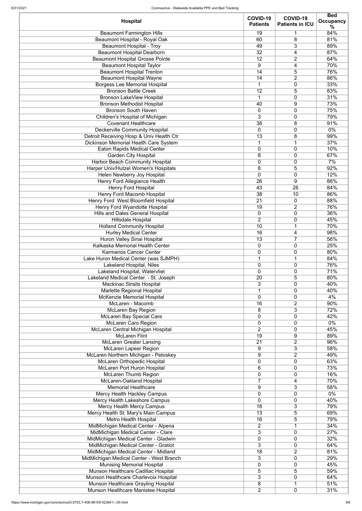|                                                                      | COVID-19        | COVID-19               | <b>Bed</b>       |
|----------------------------------------------------------------------|-----------------|------------------------|------------------|
| <b>Hospital</b>                                                      | <b>Patients</b> | <b>Patients in ICU</b> | <b>Occupancy</b> |
|                                                                      |                 |                        | ℅                |
| <b>Beaumont Farmington Hills</b>                                     | 19              | 1                      | 84%              |
| Beaumont Hospital - Royal Oak                                        | 60              | 8                      | 81%              |
| <b>Beaumont Hospital - Troy</b><br><b>Beaumont Hospital Dearborn</b> | 49<br>32        | 3                      | 89%<br>87%       |
| <b>Beaumont Hospital Grosse Pointe</b>                               | 12              | 4<br>2                 | 64%              |
| <b>Beaumont Hospital Taylor</b>                                      | 9               | 4                      | 70%              |
|                                                                      | 14              |                        |                  |
| <b>Beaumont Hospital Trenton</b>                                     |                 | 5                      | 76%              |
| <b>Beaumont Hospital Wayne</b>                                       | 14              | 2                      | 86%              |
| <b>Borgess Lee Memorial Hospital</b><br><b>Bronson Battle Creek</b>  | $\mathbf 1$     | 0                      | 33%              |
|                                                                      | 12              | 5                      | 83%              |
| <b>Bronson LakeView Hospital</b>                                     | 1               | 0                      | 31%              |
| <b>Bronson Methodist Hospital</b><br><b>Bronson South Haven</b>      | 40              | 9                      | 73%              |
|                                                                      | 0               | $\mathbf 0$            | 75%              |
| Children's Hospital of Michigan                                      | 3               | $\overline{0}$         | 79%              |
| <b>Covenant Healthcare</b>                                           | 38              | 8                      | 91%              |
| <b>Deckerville Community Hospital</b>                                | $\mathbf 0$     | 0                      | $0\%$            |
| Detroit Receiving Hosp & Univ Health Ctr                             | 13              | 8                      | 99%              |
| Dickinson Memorial Health Care System                                | $\mathbf{1}$    | 1                      | 37%              |
| <b>Eaton Rapids Medical Center</b>                                   | 0               | 0                      | 10%              |
| <b>Garden City Hospital</b>                                          | 8               | $\mathbf 0$            | 67%              |
| <b>Harbor Beach Community Hospital</b>                               | $\mathbf 0$     | $\mathbf 0$            | 7%               |
| Harper Univ/Hutzel Women's Hospitals                                 | 8               | 5                      | 92%              |
| Helen Newberry Joy Hospital                                          | $\overline{0}$  | $\mathbf 0$            | 12%              |
| <b>Henry Ford Allegiance Health</b>                                  | $\overline{26}$ | 9                      | 86%              |
| <b>Henry Ford Hospital</b>                                           | 43              | $\overline{26}$        | 84%              |
| <b>Henry Ford Macomb Hospital</b>                                    | 38              | 10                     | 86%              |
| <b>Henry Ford West Bloomfield Hospital</b>                           | 21              | $\mathbf 0$            | 88%              |
| Henry Ford Wyandotte Hospital                                        | 19              | 2                      | 76%              |
| <b>Hills and Dales General Hospital</b>                              | 0               | $\overline{0}$         | 36%              |
| <b>Hillsdale Hospital</b>                                            | $\overline{2}$  | 0                      | 45%              |
| <b>Holland Community Hospital</b>                                    | 10              | $\mathbf 1$            | 70%              |
| <b>Hurley Medical Center</b>                                         | 16              | 4                      | 98%              |
| Huron Valley Sinai Hospital                                          | 13              | $\overline{7}$         | 56%              |
| Kalkaska Memorial Health Center                                      | 0               | 0                      | 25%              |
| Karmanos Cancer Center                                               | $\mathbf 0$     | $\mathbf 0$            | 80%              |
| Lake Huron Medical Center (was SJMPH)                                | 1               | 1                      | 84%              |
| Lakeland Hospital, Niles                                             | 0               | 0                      | 76%              |
| Lakeland Hospital, Watervliet                                        | $\overline{0}$  | 0                      | 71%              |
| Lakeland Medical Center. - St. Joseph                                | 20              | 5                      | 80%              |
| <b>Mackinac Straits Hospital</b>                                     | 3               | $\mathbf 0$            | 40%              |
| Marlette Regional Hospital                                           | 1               | 0                      | 40%              |
| McKenzie Memorial Hospital                                           | $\overline{0}$  | 0                      | 4%               |
| McLaren - Macomb                                                     | 16              | 2                      | 90%              |
| <b>McLaren Bay Region</b>                                            | 8               | 3                      | 72%              |
| <b>McLaren Bay Special Care</b>                                      | $\mathbf 0$     | $\mathbf 0$            | 42%              |
| <b>McLaren Caro Region</b>                                           | $\mathbf 0$     | 0                      | $0\%$            |
| McLaren Central Michigan Hospital                                    | $\overline{2}$  | 0                      | 45%              |
| <b>McLaren Flint</b>                                                 | $\overline{19}$ | 9                      | 89%              |
| <b>McLaren Greater Lansing</b>                                       | 21              | 2                      | 96%              |
| <b>McLaren Lapeer Region</b>                                         | 9               | 3                      | 58%              |
| McLaren Northern Michigan - Petoskey                                 | 9               | $\overline{2}$         | 49%              |
| <b>McLaren Orthopedic Hospital</b>                                   | $\mathbf 0$     | 0                      | 63%              |
| <b>McLaren Port Huron Hospital</b>                                   | 6               | 0                      | 73%              |
| <b>McLaren Thumb Region</b>                                          | $\mathbf 0$     | 0                      | 16%              |
| McLaren-Oakland Hospital                                             | $\overline{7}$  | 4                      | 70%              |
| <b>Memorial Healthcare</b>                                           | 9               | 3                      | 58%              |
| Mercy Health Hackley Campus                                          | $\mathbf 0$     | 0                      | $0\%$            |
| Mercy Health Lakeshore Campus                                        | $\mathbf 0$     | 0                      | 40%              |
| <b>Mercy Health Mercy Campus</b>                                     | 18              | 3                      | 79%              |
| Mercy Health St. Mary's Main Campus                                  | $\overline{13}$ | 5                      | 69%              |
| <b>Metro Health Hospital</b>                                         | 16              | 5                      | 79%              |
| MidMichigan Medical Center - Alpena                                  | $\overline{2}$  |                        | 34%              |
| MidMichigan Medical Center - Clare                                   | 3               | 0                      | 27%              |
| MidMichigan Medical Center - Gladwin                                 | 0               | $\mathbf 0$            | 32%              |
| MidMichigan Medical Center - Gratiot                                 | 3               | 0                      | 64%              |
| MidMichigan Medical Center - Midland                                 | 18              | $\overline{2}$         | 81%              |
| MidMichigan Medical Center - West Branch                             | 3               | 0                      | 29%              |
| <b>Munising Memorial Hospital</b>                                    | 0               | $\mathbf 0$            | 45%              |
| Munson Healthcare Cadillac Hospital                                  | 5               | 5                      | 59%              |
| Munson Healthcare Charlevoix Hospital                                | 3               | $\mathbf 0$            | 64%              |
| Munson Healthcare Grayling Hospital                                  | 8               |                        | 51%              |
| Munson Healthcare Manistee Hospital                                  | $\overline{2}$  | 0                      | 31%              |